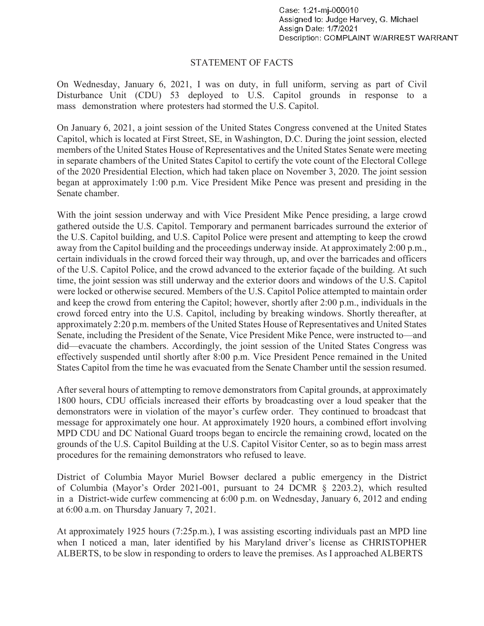## STATEMENT OF FACTS

On Wednesday, January 6, 2021, I was on duty, in full uniform, serving as part of Civil Disturbance Unit (CDU) 53 deployed to U.S. Capitol grounds in response to a mass demonstration where protesters had stormed the U.S. Capitol.

On January 6, 2021, a joint session of the United States Congress convened at the United States Capitol, which is located at First Street, SE, in Washington, D.C. During the joint session, elected members of the United States House of Representatives and the United States Senate were meeting in separate chambers of the United States Capitol to certify the vote count of the Electoral College of the 2020 Presidential Election, which had taken place on November 3, 2020. The joint session began at approximately 1:00 p.m. Vice President Mike Pence was present and presiding in the Senate chamber.

With the joint session underway and with Vice President Mike Pence presiding, a large crowd gathered outside the U.S. Capitol. Temporary and permanent barricades surround the exterior of the U.S. Capitol building, and U.S. Capitol Police were present and attempting to keep the crowd away from the Capitol building and the proceedings underway inside. At approximately 2:00 p.m., certain individuals in the crowd forced their way through, up, and over the barricades and officers of the U.S. Capitol Police, and the crowd advanced to the exterior façade of the building. At such time, the joint session was still underway and the exterior doors and windows of the U.S. Capitol were locked or otherwise secured. Members of the U.S. Capitol Police attempted to maintain order and keep the crowd from entering the Capitol; however, shortly after 2:00 p.m., individuals in the crowd forced entry into the U.S. Capitol, including by breaking windows. Shortly thereafter, at approximately 2:20 p.m. members of the United States House of Representatives and United States Senate, including the President of the Senate, Vice President Mike Pence, were instructed to—and did—evacuate the chambers. Accordingly, the joint session of the United States Congress was effectively suspended until shortly after 8:00 p.m. Vice President Pence remained in the United States Capitol from the time he was evacuated from the Senate Chamber until the session resumed.

After several hours of attempting to remove demonstrators from Capital grounds, at approximately 1800 hours, CDU officials increased their efforts by broadcasting over a loud speaker that the demonstrators were in violation of the mayor's curfew order. They continued to broadcast that message for approximately one hour. At approximately 1920 hours, a combined effort involving MPD CDU and DC National Guard troops began to encircle the remaining crowd, located on the grounds of the U.S. Capitol Building at the U.S. Capitol Visitor Center, so as to begin mass arrest procedures for the remaining demonstrators who refused to leave.

 in a District-wide curfew commencing at 6:00 p.m. on Wednesday, January 6, 2012 and ending District of Columbia Mayor Muriel Bowser declared a public emergency in the District of Columbia (Mayor's Order 2021-001, pursuant to 24 DCMR § 2203.2), which resulted at 6:00 a.m. on Thursday January 7, 2021.

At approximately 1925 hours (7:25p.m.), I was assisting escorting individuals past an MPD line when I noticed a man, later identified by his Maryland driver's license as CHRISTOPHER ALBERTS, to be slow in responding to orders to leave the premises. As I approached ALBERTS